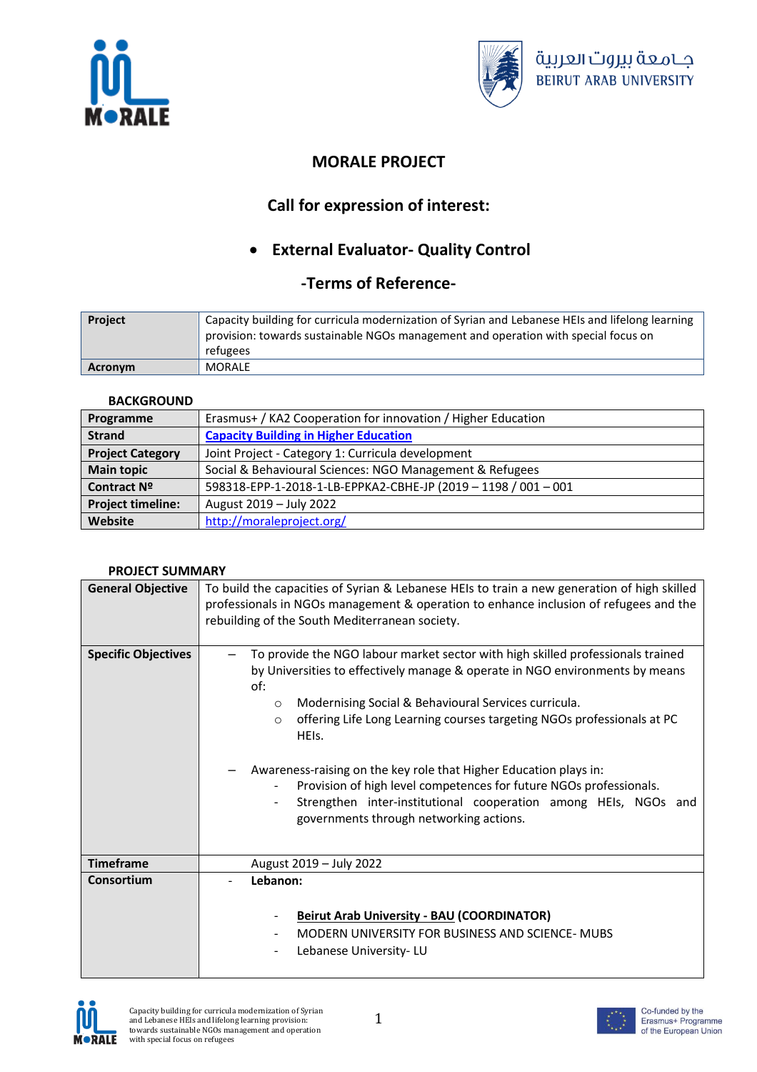



## **MORALE PROJECT**

# **Call for expression of interest:**

# **External Evaluator- Quality Control**

### **-Terms of Reference-**

| <b>Project</b> | Capacity building for curricula modernization of Syrian and Lebanese HEIs and lifelong learning<br>provision: towards sustainable NGOs management and operation with special focus on<br>refugees |
|----------------|---------------------------------------------------------------------------------------------------------------------------------------------------------------------------------------------------|
| Acronym        | MORALE                                                                                                                                                                                            |

### **BACKGROUND**

| Programme                | Erasmus+ / KA2 Cooperation for innovation / Higher Education   |
|--------------------------|----------------------------------------------------------------|
| <b>Strand</b>            | <b>Capacity Building in Higher Education</b>                   |
| <b>Project Category</b>  | Joint Project - Category 1: Curricula development              |
| <b>Main topic</b>        | Social & Behavioural Sciences: NGO Management & Refugees       |
| Contract Nº              | 598318-EPP-1-2018-1-LB-EPPKA2-CBHE-JP (2019 - 1198 / 001 - 001 |
| <b>Project timeline:</b> | August 2019 - July 2022                                        |
| Website                  | http://moraleproject.org/                                      |

### **PROJECT SUMMARY**

| <b>General Objective</b>   | To build the capacities of Syrian & Lebanese HEIs to train a new generation of high skilled<br>professionals in NGOs management & operation to enhance inclusion of refugees and the                                                                                                                                                                                                                                                                                                                                                                  |
|----------------------------|-------------------------------------------------------------------------------------------------------------------------------------------------------------------------------------------------------------------------------------------------------------------------------------------------------------------------------------------------------------------------------------------------------------------------------------------------------------------------------------------------------------------------------------------------------|
|                            | rebuilding of the South Mediterranean society.                                                                                                                                                                                                                                                                                                                                                                                                                                                                                                        |
|                            |                                                                                                                                                                                                                                                                                                                                                                                                                                                                                                                                                       |
| <b>Specific Objectives</b> | To provide the NGO labour market sector with high skilled professionals trained<br>by Universities to effectively manage & operate in NGO environments by means<br>of:<br>Modernising Social & Behavioural Services curricula.<br>$\circ$<br>offering Life Long Learning courses targeting NGOs professionals at PC<br>$\circ$<br>HEIS.<br>Awareness-raising on the key role that Higher Education plays in:<br>Provision of high level competences for future NGOs professionals.<br>Strengthen inter-institutional cooperation among HEIs, NGOs and |
|                            | governments through networking actions.                                                                                                                                                                                                                                                                                                                                                                                                                                                                                                               |
| <b>Timeframe</b>           | August 2019 - July 2022                                                                                                                                                                                                                                                                                                                                                                                                                                                                                                                               |
| Consortium                 | Lebanon:                                                                                                                                                                                                                                                                                                                                                                                                                                                                                                                                              |
|                            | <b>Beirut Arab University - BAU (COORDINATOR)</b><br>MODERN UNIVERSITY FOR BUSINESS AND SCIENCE- MUBS<br>Lebanese University-LU                                                                                                                                                                                                                                                                                                                                                                                                                       |





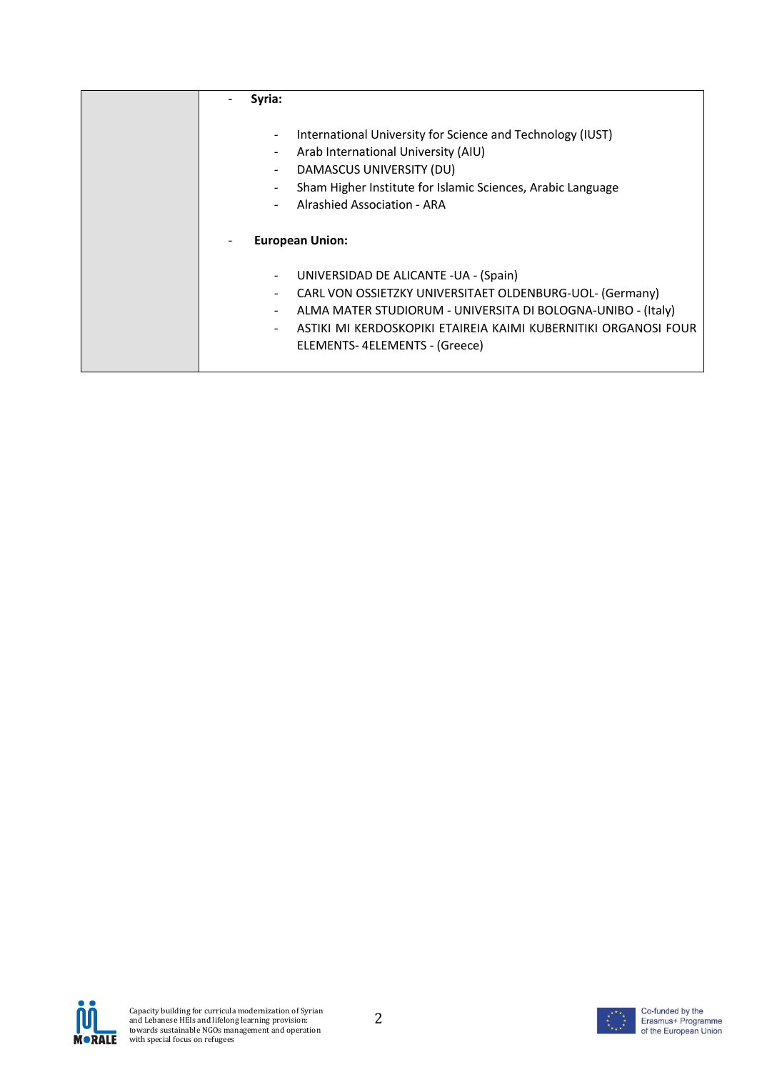| Syria:                                                                         |                                                                                                                                                                                                                                                                        |
|--------------------------------------------------------------------------------|------------------------------------------------------------------------------------------------------------------------------------------------------------------------------------------------------------------------------------------------------------------------|
| $\blacksquare$<br>$\blacksquare$<br>$\overline{\phantom{a}}$<br>$\blacksquare$ | International University for Science and Technology (IUST)<br>Arab International University (AIU)<br>DAMASCUS UNIVERSITY (DU)<br>Sham Higher Institute for Islamic Sciences, Arabic Language<br>Alrashied Association - ARA<br><b>European Union:</b>                  |
| $\blacksquare$<br>۰.<br>$\blacksquare$<br>$\sim$                               | UNIVERSIDAD DE ALICANTE - UA - (Spain)<br>CARL VON OSSIETZKY UNIVERSITAET OLDENBURG-UOL- (Germany)<br>ALMA MATER STUDIORUM - UNIVERSITA DI BOLOGNA-UNIBO - (Italy)<br>ASTIKI MI KERDOSKOPIKI ETAIREIA KAIMI KUBERNITIKI ORGANOSI FOUR<br>ELEMENTS-4ELEMENTS - (Greece) |



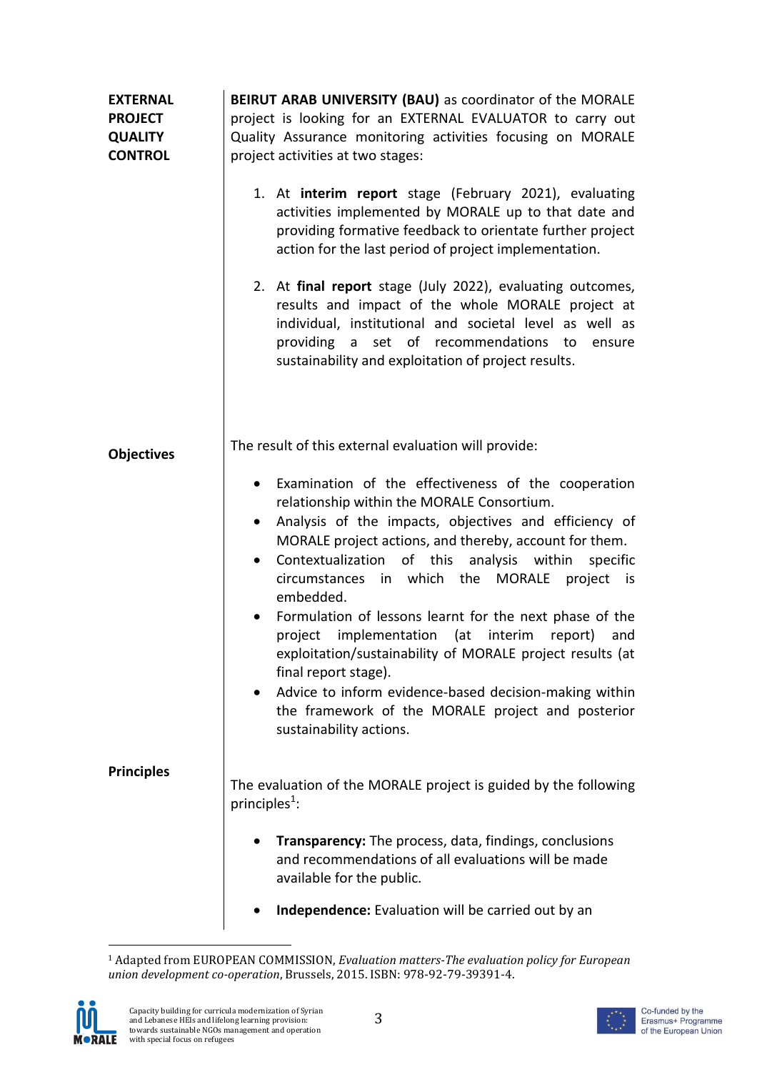| <b>EXTERNAL</b><br><b>PROJECT</b><br><b>QUALITY</b><br><b>CONTROL</b> | BEIRUT ARAB UNIVERSITY (BAU) as coordinator of the MORALE<br>project is looking for an EXTERNAL EVALUATOR to carry out<br>Quality Assurance monitoring activities focusing on MORALE<br>project activities at two stages:                                                                                                                                                                                                                                                                                                                                                                                                                                                                                                                                          |
|-----------------------------------------------------------------------|--------------------------------------------------------------------------------------------------------------------------------------------------------------------------------------------------------------------------------------------------------------------------------------------------------------------------------------------------------------------------------------------------------------------------------------------------------------------------------------------------------------------------------------------------------------------------------------------------------------------------------------------------------------------------------------------------------------------------------------------------------------------|
|                                                                       | 1. At interim report stage (February 2021), evaluating<br>activities implemented by MORALE up to that date and<br>providing formative feedback to orientate further project<br>action for the last period of project implementation.                                                                                                                                                                                                                                                                                                                                                                                                                                                                                                                               |
|                                                                       | 2. At final report stage (July 2022), evaluating outcomes,<br>results and impact of the whole MORALE project at<br>individual, institutional and societal level as well as<br>providing a set of recommendations<br>to<br>ensure<br>sustainability and exploitation of project results.                                                                                                                                                                                                                                                                                                                                                                                                                                                                            |
| <b>Objectives</b>                                                     | The result of this external evaluation will provide:                                                                                                                                                                                                                                                                                                                                                                                                                                                                                                                                                                                                                                                                                                               |
|                                                                       | Examination of the effectiveness of the cooperation<br>٠<br>relationship within the MORALE Consortium.<br>Analysis of the impacts, objectives and efficiency of<br>٠<br>MORALE project actions, and thereby, account for them.<br>of this<br>analysis within<br>Contextualization<br>specific<br>$\bullet$<br>circumstances<br>which the<br><b>MORALE</b><br>project<br>in<br>is is<br>embedded.<br>Formulation of lessons learnt for the next phase of the<br>$\bullet$<br>implementation (at interim<br>project<br>report)<br>and<br>exploitation/sustainability of MORALE project results (at<br>final report stage).<br>Advice to inform evidence-based decision-making within<br>the framework of the MORALE project and posterior<br>sustainability actions. |
| <b>Principles</b>                                                     | The evaluation of the MORALE project is guided by the following<br>principles <sup>1</sup> :                                                                                                                                                                                                                                                                                                                                                                                                                                                                                                                                                                                                                                                                       |
|                                                                       | <b>Transparency:</b> The process, data, findings, conclusions<br>and recommendations of all evaluations will be made<br>available for the public.                                                                                                                                                                                                                                                                                                                                                                                                                                                                                                                                                                                                                  |
|                                                                       | Independence: Evaluation will be carried out by an                                                                                                                                                                                                                                                                                                                                                                                                                                                                                                                                                                                                                                                                                                                 |

<sup>-</sup><sup>1</sup> Adapted from EUROPEAN COMMISSION, *Evaluation matters-The evaluation policy for European union development co-operation*, Brussels, 2015. ISBN: 978-92-79-39391-4.



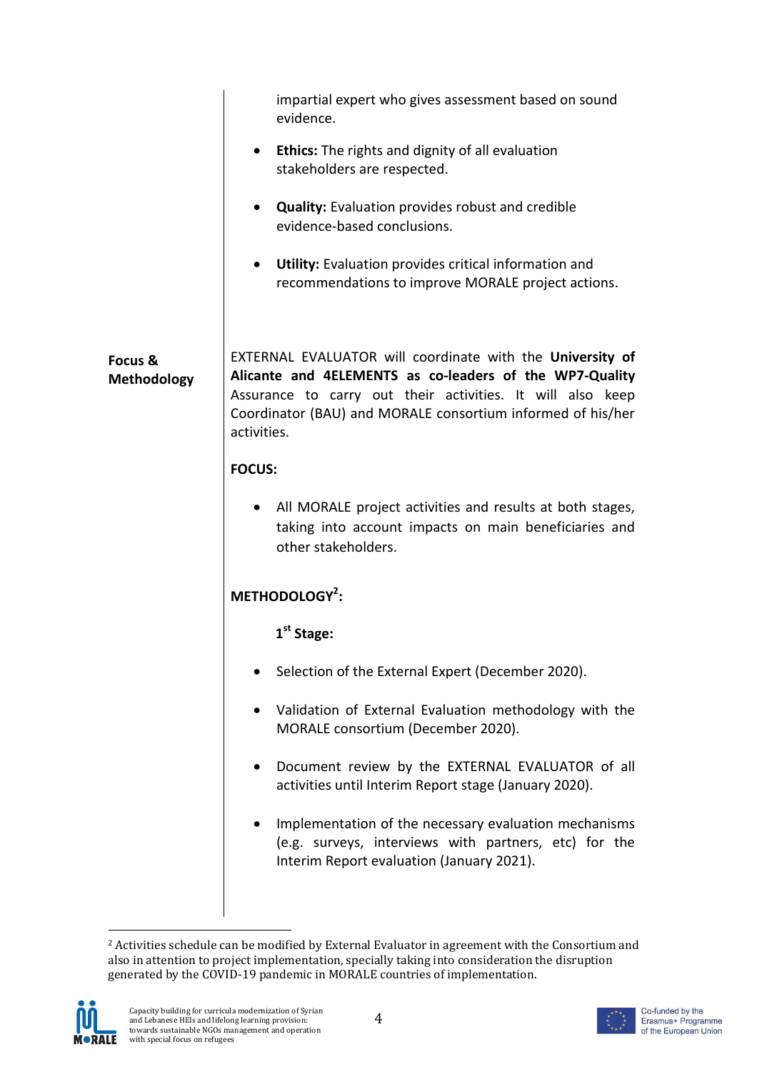|                               | impartial expert who gives assessment based on sound<br>evidence.                                                                                                                                                                                                |
|-------------------------------|------------------------------------------------------------------------------------------------------------------------------------------------------------------------------------------------------------------------------------------------------------------|
|                               | <b>Ethics:</b> The rights and dignity of all evaluation<br>$\bullet$<br>stakeholders are respected.                                                                                                                                                              |
|                               | <b>Quality:</b> Evaluation provides robust and credible<br>$\bullet$<br>evidence-based conclusions.                                                                                                                                                              |
|                               | Utility: Evaluation provides critical information and<br>$\bullet$<br>recommendations to improve MORALE project actions.                                                                                                                                         |
| Focus &<br><b>Methodology</b> | EXTERNAL EVALUATOR will coordinate with the University of<br>Alicante and 4ELEMENTS as co-leaders of the WP7-Quality<br>Assurance to carry out their activities. It will also keep<br>Coordinator (BAU) and MORALE consortium informed of his/her<br>activities. |
|                               | <b>FOCUS:</b>                                                                                                                                                                                                                                                    |
|                               | • All MORALE project activities and results at both stages,<br>taking into account impacts on main beneficiaries and<br>other stakeholders.                                                                                                                      |
|                               | METHODOLOGY <sup>2</sup> :                                                                                                                                                                                                                                       |
|                               | 1 <sup>st</sup> Stage:                                                                                                                                                                                                                                           |
|                               | Selection of the External Expert (December 2020).                                                                                                                                                                                                                |
|                               | Validation of External Evaluation methodology with the<br>MORALE consortium (December 2020).                                                                                                                                                                     |
|                               | Document review by the EXTERNAL EVALUATOR of all<br>activities until Interim Report stage (January 2020).                                                                                                                                                        |
|                               | Implementation of the necessary evaluation mechanisms<br>(e.g. surveys, interviews with partners, etc) for the<br>Interim Report evaluation (January 2021).                                                                                                      |
|                               |                                                                                                                                                                                                                                                                  |

<sup>1</sup> <sup>2</sup> Activities schedule can be modified by External Evaluator in agreement with the Consortium and also in attention to project implementation, specially taking into consideration the disruption generated by the COVID-19 pandemic in MORALE countries of implementation.



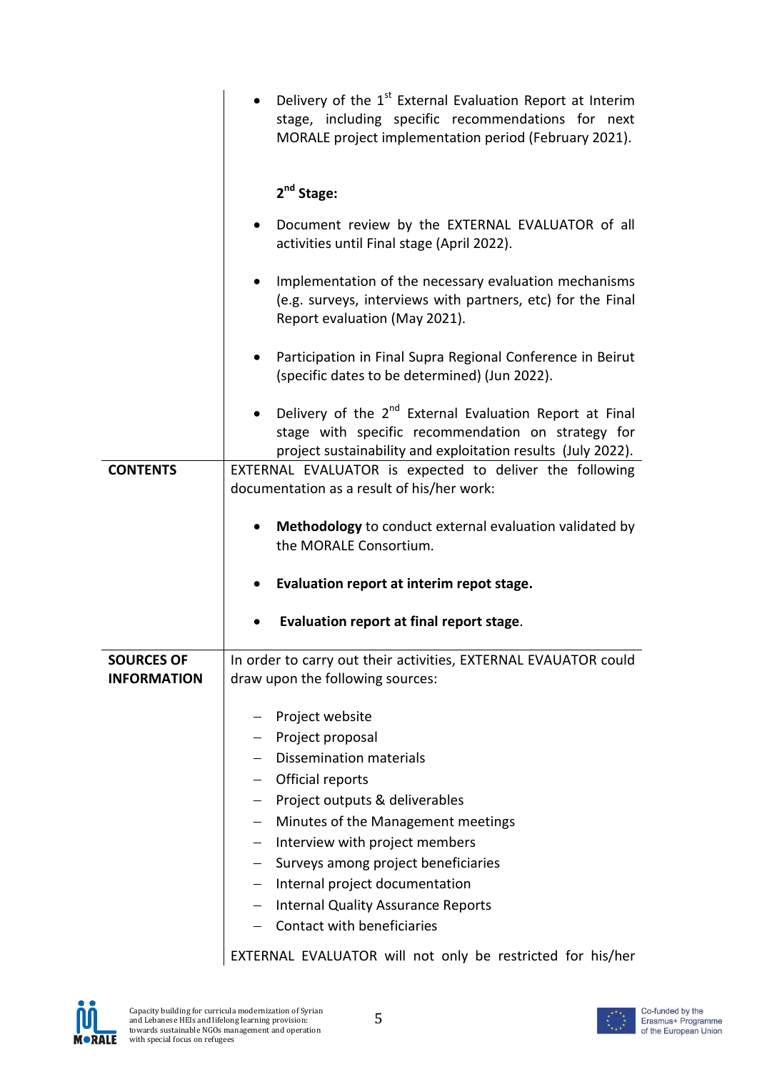|                                         | Delivery of the 1 <sup>st</sup> External Evaluation Report at Interim<br>stage, including specific recommendations for next<br>MORALE project implementation period (February 2021).                                                                                                                                                                                                                                 |
|-----------------------------------------|----------------------------------------------------------------------------------------------------------------------------------------------------------------------------------------------------------------------------------------------------------------------------------------------------------------------------------------------------------------------------------------------------------------------|
|                                         | $2nd$ Stage:                                                                                                                                                                                                                                                                                                                                                                                                         |
|                                         | Document review by the EXTERNAL EVALUATOR of all<br>activities until Final stage (April 2022).                                                                                                                                                                                                                                                                                                                       |
|                                         | Implementation of the necessary evaluation mechanisms<br>(e.g. surveys, interviews with partners, etc) for the Final<br>Report evaluation (May 2021).                                                                                                                                                                                                                                                                |
|                                         | Participation in Final Supra Regional Conference in Beirut<br>$\bullet$<br>(specific dates to be determined) (Jun 2022).                                                                                                                                                                                                                                                                                             |
|                                         | • Delivery of the 2 <sup>nd</sup> External Evaluation Report at Final<br>stage with specific recommendation on strategy for<br>project sustainability and exploitation results (July 2022).                                                                                                                                                                                                                          |
| <b>CONTENTS</b>                         | EXTERNAL EVALUATOR is expected to deliver the following<br>documentation as a result of his/her work:                                                                                                                                                                                                                                                                                                                |
|                                         | Methodology to conduct external evaluation validated by<br>the MORALE Consortium.                                                                                                                                                                                                                                                                                                                                    |
|                                         | Evaluation report at interim repot stage.                                                                                                                                                                                                                                                                                                                                                                            |
|                                         | Evaluation report at final report stage.                                                                                                                                                                                                                                                                                                                                                                             |
| <b>SOURCES OF</b><br><b>INFORMATION</b> | In order to carry out their activities, EXTERNAL EVAUATOR could<br>draw upon the following sources:                                                                                                                                                                                                                                                                                                                  |
|                                         | Project website<br>Project proposal<br>$\overline{\phantom{0}}$<br><b>Dissemination materials</b><br>Official reports<br>Project outputs & deliverables<br>$ \,$<br>Minutes of the Management meetings<br>$\equiv$<br>Interview with project members<br>Surveys among project beneficiaries<br>Internal project documentation<br>$\equiv$<br><b>Internal Quality Assurance Reports</b><br>Contact with beneficiaries |
|                                         | EXTERNAL EVALUATOR will not only be restricted for his/her                                                                                                                                                                                                                                                                                                                                                           |

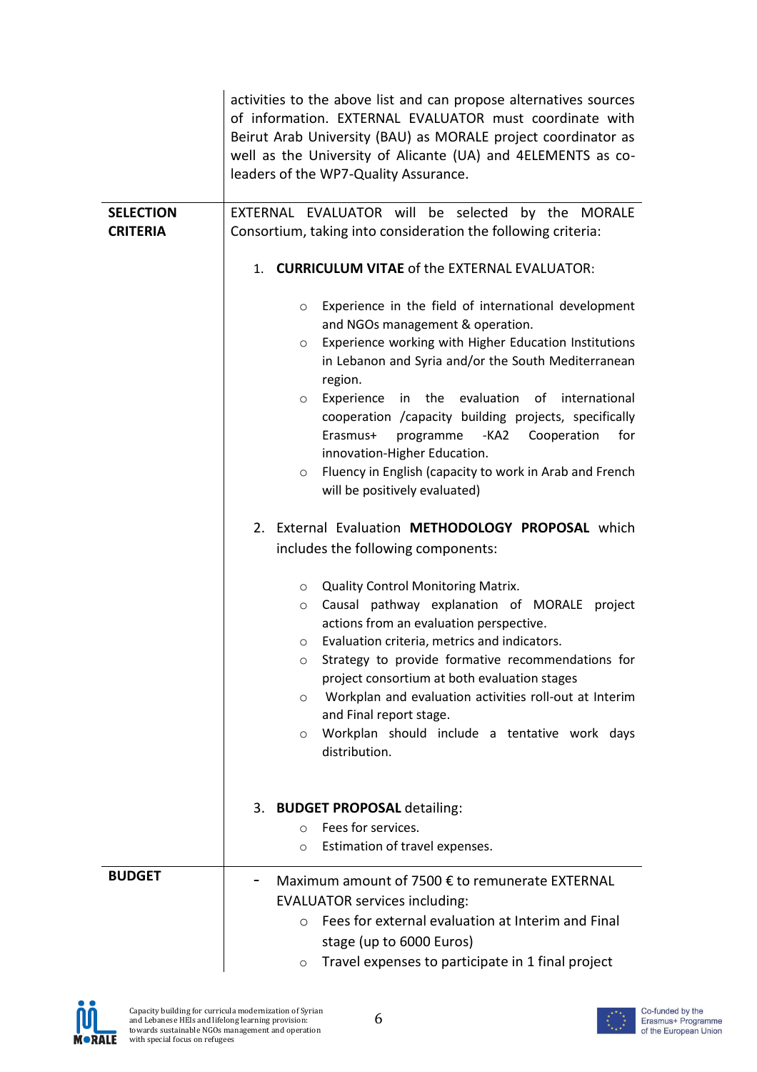|                                     | activities to the above list and can propose alternatives sources<br>of information. EXTERNAL EVALUATOR must coordinate with<br>Beirut Arab University (BAU) as MORALE project coordinator as<br>well as the University of Alicante (UA) and 4ELEMENTS as co-<br>leaders of the WP7-Quality Assurance.                                                                                                                                                                                                                                                                                                                                                                                                                                                                                                                                                                                                                                                                                                                                                                                                                                                                                                                                  |
|-------------------------------------|-----------------------------------------------------------------------------------------------------------------------------------------------------------------------------------------------------------------------------------------------------------------------------------------------------------------------------------------------------------------------------------------------------------------------------------------------------------------------------------------------------------------------------------------------------------------------------------------------------------------------------------------------------------------------------------------------------------------------------------------------------------------------------------------------------------------------------------------------------------------------------------------------------------------------------------------------------------------------------------------------------------------------------------------------------------------------------------------------------------------------------------------------------------------------------------------------------------------------------------------|
| <b>SELECTION</b><br><b>CRITERIA</b> | EXTERNAL EVALUATOR will be selected<br>by the<br>MORALE<br>Consortium, taking into consideration the following criteria:                                                                                                                                                                                                                                                                                                                                                                                                                                                                                                                                                                                                                                                                                                                                                                                                                                                                                                                                                                                                                                                                                                                |
|                                     | <b>CURRICULUM VITAE of the EXTERNAL EVALUATOR:</b><br>1.<br>Experience in the field of international development<br>$\circ$<br>and NGOs management & operation.<br>Experience working with Higher Education Institutions<br>$\circ$<br>in Lebanon and Syria and/or the South Mediterranean<br>region.<br>Experience in the evaluation of international<br>$\circ$<br>cooperation / capacity building projects, specifically<br>-KA2<br>Erasmus+<br>programme<br>Cooperation<br>for<br>innovation-Higher Education.<br>Fluency in English (capacity to work in Arab and French<br>$\circ$<br>will be positively evaluated)<br>External Evaluation METHODOLOGY PROPOSAL which<br>2.<br>includes the following components:<br><b>Quality Control Monitoring Matrix.</b><br>$\circ$<br>Causal pathway explanation of MORALE project<br>$\circ$<br>actions from an evaluation perspective.<br>Evaluation criteria, metrics and indicators.<br>$\circ$<br>Strategy to provide formative recommendations for<br>O<br>project consortium at both evaluation stages<br>Workplan and evaluation activities roll-out at Interim<br>$\circ$<br>and Final report stage.<br>Workplan should include a tentative work days<br>$\circ$<br>distribution. |
|                                     | 3. BUDGET PROPOSAL detailing:<br>Fees for services.<br>$\circ$<br>Estimation of travel expenses.<br>$\circ$                                                                                                                                                                                                                                                                                                                                                                                                                                                                                                                                                                                                                                                                                                                                                                                                                                                                                                                                                                                                                                                                                                                             |
| <b>BUDGET</b>                       | Maximum amount of 7500 € to remunerate EXTERNAL<br><b>EVALUATOR services including:</b><br>Fees for external evaluation at Interim and Final<br>$\circ$<br>stage (up to 6000 Euros)<br>Travel expenses to participate in 1 final project<br>$\circ$                                                                                                                                                                                                                                                                                                                                                                                                                                                                                                                                                                                                                                                                                                                                                                                                                                                                                                                                                                                     |